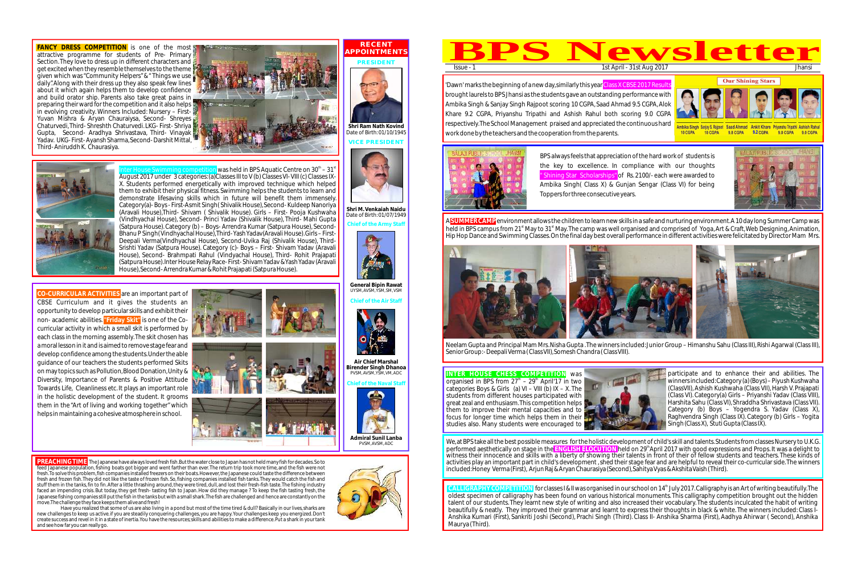'Dawn' marks the beginning of a new day,similarly this year <mark>Class X CBSE 2017 Results</mark> brought laurels to BPS Jhansi as the students gave an outstanding performance with Ambika Singh & Sanjay Singh Rajpoot scoring 10 CGPA, Saad Ahmad 9.5 CGPA,Alok Khare 9.2 CGPA, Priyanshu Tripathi and Ashish Rahul both scoring 9.0 CGPA respectively.The School Management praised and appreciated the continuous hard work done by the teachers and the cooperation from the parents.



A <mark>SUMMER CAMP</mark> environment allows the children to learn new skills in a safe and nurturing environment.A 10 day long Summer Camp was held in BPS campus from 21<sup>st</sup> May to 31<sup>st</sup> May. The camp was well organised and comprised of Yoga, Art & Craft, Web Designing, Animation, Hip Hop Dance and Swimming Classes.On the final day best overall performance in different activities were felicitated by Director Mam Mrs.



Neelam Gupta and Principal Mam Mrs. Nisha Gupta . The winners included: Junior Group – Himanshu Sahu (Class III), Rishi Agarwal (Class III), Senior Group: - Deepali Verma ( Class VII), Somesh Chandra ( Class VIII).

organised in BPS from  $27<sup>th</sup> - 29<sup>th</sup>$  April'17 in two categories Boys & Girls (a)  $VI - VIII$  (b)  $IX - X$ . The students from different houses participated with great zeal and enthusiasm.This competition helps them to improve their mental capacities and to focus for longer time which helps them in their studies also. Many students were encouraged to





## **INTER HOUSE CHESS COMPETITION** was

We,at BPS take all the best possible measures for the holistic development of child's skill and talents.Students from classes Nursery to U.K.G. performed aesthetically on stage in the <mark>ENGLISH ELOCUTION</mark> held on 29<sup>th</sup>April 2017 with good expressions and Props. It was a delight to witness their innocence and skills with a liberty of showing their talents in front of their of fellow students and teachers. These kinds of activities play an important part in child's development ,shed their stage fear and are helpful to reveal their co-curricular side.The winners included:Honey Verma (First), Arjun Raj & Aryan Chaurasiya (Second),Sahitya Vyas & Akshita Vaish (Third).

BPS always feels that appreciation of the hard work of students is the key to excellence. In compliance with our thoughts " Shining Star Scholarships" of Rs. 2100/- each were awarded to Ambika Singh( Class X) & Gunjan Sengar (Class VI) for being Toppers for three consecutive years.

**CALLIGRAPHY COMPETITION** for classes I & II was organised in our school on 14<sup>th</sup> July 2017.Calligraphy is an Art of writing beautifully.The oldest specimen of calligraphy has been found on various historical monuments. This calligraphy competition brought out the hidden talent of our students.They learnt new style of writing and also increased their vocabulary.The students inculcated the habit of writing beautifully & neatly. They improved their grammar and learnt to express their thoughts in black & white. The winners included: Class I-Anshika Kumari (First), Sankriti Joshi (Second), Prachi Singh (Third). Class II- Anshika Sharma (First), Aadhya Ahirwar ( Second), Anshika Maurya (Third).



mbika Singh Sanjay S. Rajpoot Saad Ahmad Ankit Khare Priyanshu Tripathi Ashish Rahul 10 CGPA 10 CGPA 9.8 CGPA 9.2 CGPA 9.0 CGPA 9.0 CGPA



**I** was held in BPS Aquatic Centre on  $30<sup>th</sup> - 31$ August 2017 under 3 categories:(a)Classes III to V (b) Classes VI- VIII (c) Classes IX-X. Students performed energetically with improved technique which helped them to exhibit their physical fitness. Swimming helps the students to learn and demonstrate lifesaving skills which in future will benefit them immensely. Category(a)- Boys - First-Asmit Singh( Shivalik House),Second- Kuldeep Nanoriya (Aravali House),Third- Shivam ( Shivalik House). Girls – First- Pooja Kushwaha (Vindhyachal House), Second- Princi Yadav (Shivalik House), Third- Mahi Gupta (Satpura House). Category (b) – Boys- Arrendra Kumar (Satpura House), Second-Bhanu P Singh( Vindhyachal House),Third- Yash Yadav(Aravali House).Girls – First-Deepali Verma(Vindhyachal House), Second-Uvika Raj (Shivalik House), Third-Srishti Yadav (Satpura House). Category (c)- Boys – First- Shivam Yadav (Aravali House), Second- Brahmpati Rahul (Vindyachal House), Third- Rohit Prajapati (Satpura House).Inter House Relay Race- First- Shivam Yadav & Yash Yadav (Aravali House),Second- Arrendra Kumar & Rohit Prajapati (Satpura House).

> participate and to enhance their and abilities. The winners included:Category (a) (Boys) – Piyush Kushwaha (ClassVII), Ashish Kushwaha (Class VII),Harsh V. Prajapati (Class VI). Category(a) Girls – Priyanshi Yadav (Class VIII), Harshita Sahu (Class VI),Shraddha Shrivastava (Class VII). Category (b) Boys – Yogendra S. Yadav (Class X), Raghvendra Singh (Class IX). Category (b) Girls – Yogita Singh (Class X), Stuti Gupta (Class IX).



**Chief of the Air Staff**

### **Chief of the Naval Staff**





**Chief of the Army Staff** Date of Birth: 01/07/1949







**Air Chief Marshal Birender Singh Dhanoa** PVSM, AVSM,YSM,VM, ADC



" Transaction



**PRESIDENT**

**VICE PRESIDENT**



**Shri M.Venkaiah Naidu**





**Shri Ram Nath Kovind**



Date of Birth: 01/10/1945

Have you realized that some of us are also living in a pond but most of the time tired & dull? Basically in our lives, sharks are new challenges to keep us active.if you are steadily conquering challenges, you are happy.Your challenges keep you energized.Don't create success and revel in it in a state of inertia.You have the resources;skills and abilities to make a difference.Put a shark in your tank and see how far you can really go.

**CO-CURRICULAR ACTIVITIES** are an important part of non- academic abilities. <mark>"Friday Skit"</mark> is one of the Co-CBSE Curriculum and it gives the students an opportunity to develop particular skills and exhibit their curricular activity in which a small skit is performed by each class in the morning assembly.The skit chosen has a moral lesson in it and is aimed to remove stage fear and develop confidence among the students.Under the able guidance of our teachers the students performed Skits on may topics such as Pollution,Blood Donation,Unity & Diversity, Importance of Parents & Positive Attitude Towards Life, Cleanliness etc. It plays an important role in the holistic development of the student. It grooms them in the "Art of living and working together" which helps in maintaining a cohesive atmosphere in school.

**FANCY DRESS COMPETITION** is one of the most attractive programme for students of Pre- Primary Section. They love to dress up in different characters and get excited when they resemble themselves to the theme given which was "Community Helpers" & " Things we use  $\mathbb{F}_2$ daily". Along with their dress up they also speak few lines about it which again helps them to develop confidence and build orator ship. Parents also take great pains in preparing their ward for the competition and it also helps in evolving creativity. Winners Included: Nursery – First-Yuvan Mishra & Aryan Chauraiysa, Second- Shreyes Chaturvedi,Third- Shreshth Chaturvedi. LKG- First- Shriya Gupta, Second- Aradhya Shrivastava, Third- Vinayak Yadav. UKG- First- Ayansh Sharma,Second- Darshit Mittal, Third- Aniruddh K. Chaurasiya.